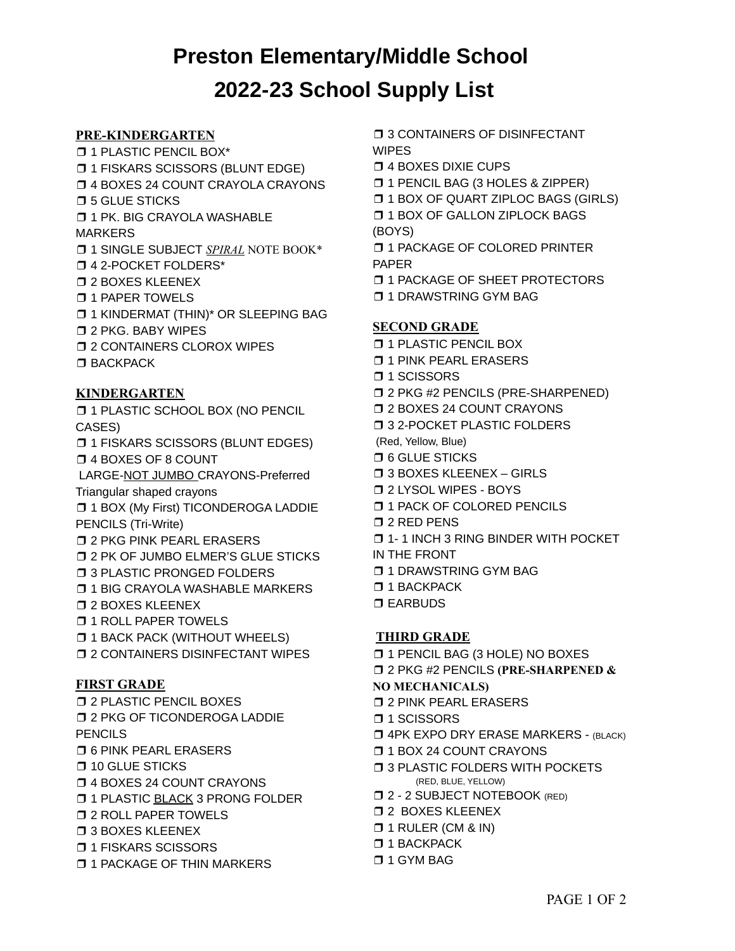# **Preston Elementary/Middle School 2022-23 School Supply List**

#### **PRE-KINDERGARTEN**

❒ 1 PLASTIC PENCIL BOX\* ❒ 1 FISKARS SCISSORS (BLUNT EDGE)

- ❒ 4 BOXES 24 COUNT CRAYOLA CRAYONS
- ❒ 5 GLUE STICKS

❒ 1 PK. BIG CRAYOLA WASHABLE

#### MARKERS

- ❒ 1 SINGLE SUBJECT *SPIRAL* NOTE BOOK\*
- ❒ 4 2-POCKET FOLDERS\*
- ❒ 2 BOXES KLEENEX
- ❒ 1 PAPER TOWELS
- ❒ 1 KINDERMAT (THIN)\* OR SLEEPING BAG
- ❒ 2 PKG. BABY WIPES
- ❒ 2 CONTAINERS CLOROX WIPES
- ❒ BACKPACK

## **KINDERGARTEN**

❒ 1 PLASTIC SCHOOL BOX (NO PENCIL CASES)

❒ 1 FISKARS SCISSORS (BLUNT EDGES) ❒ 4 BOXES OF 8 COUNT

LARGE-NOT JUMBO CRAYONS-Preferred

Triangular shaped crayons

❒ 1 BOX (My First) TICONDEROGA LADDIE PENCILS (Tri-Write)

- ❒ 2 PKG PINK PEARL ERASERS
- ❒ 2 PK OF JUMBO ELMER'S GLUE STICKS
- ❒ 3 PLASTIC PRONGED FOLDERS
- ❒ 1 BIG CRAYOLA WASHABLE MARKERS
- ❒ 2 BOXES KLEENEX
- ❒ 1 ROLL PAPER TOWELS
- ❒ 1 BACK PACK (WITHOUT WHEELS)
- ❒ 2 CONTAINERS DISINFECTANT WIPES

## **FIRST GRADE**

- ❒ 2 PLASTIC PENCIL BOXES
- ❒ 2 PKG OF TICONDEROGA LADDIE **PENCILS**
- ❒ 6 PINK PEARL ERASERS
- ❒ 10 GLUE STICKS
- ❒ 4 BOXES 24 COUNT CRAYONS
- **□ 1 PLASTIC BLACK 3 PRONG FOLDER**
- ❒ 2 ROLL PAPER TOWELS
- ❒ 3 BOXES KLEENEX
- ❒ 1 FISKARS SCISSORS
- ❒ 1 PACKAGE OF THIN MARKERS

❒ 3 CONTAINERS OF DISINFECTANT WIPES

- ❒ 4 BOXES DIXIE CUPS
- ❒ 1 PENCIL BAG (3 HOLES & ZIPPER)
- ❒ 1 BOX OF QUART ZIPLOC BAGS (GIRLS)
- ❒ 1 BOX OF GALLON ZIPLOCK BAGS
- (BOYS)

❒ 1 PACKAGE OF COLORED PRINTER PAPER

- ❒ 1 PACKAGE OF SHEET PROTECTORS
- ❒ 1 DRAWSTRING GYM BAG

## **SECOND GRADE**

- ❒ 1 PLASTIC PENCIL BOX
- ❒ 1 PINK PEARL ERASERS
- ❒ 1 SCISSORS
- ❒ 2 PKG #2 PENCILS (PRE-SHARPENED)
- ❒ 2 BOXES 24 COUNT CRAYONS
- ❒ 3 2-POCKET PLASTIC FOLDERS
- (Red, Yellow, Blue)
- ❒ 6 GLUE STICKS
- ❒ 3 BOXES KLEENEX GIRLS
- ❒ 2 LYSOL WIPES BOYS
- ❒ 1 PACK OF COLORED PENCILS
- ❒ 2 RED PENS
- ❒ 1- 1 INCH 3 RING BINDER WITH POCKET
- IN THE FRONT
- ❒ 1 DRAWSTRING GYM BAG
- ❒ 1 BACKPACK
- ❒ EARBUDS

## **THIRD GRADE**

- ❒ 1 PENCIL BAG (3 HOLE) NO BOXES
- ❒ 2 PKG #2 PENCILS **(PRE-SHARPENED &**

#### **NO MECHANICALS)**

- ❒ 2 PINK PEARL ERASERS
- ❒ 1 SCISSORS
- ❒ 4PK EXPO DRY ERASE MARKERS (BLACK)
- ❒ 1 BOX 24 COUNT CRAYONS
- ❒ 3 PLASTIC FOLDERS WITH POCKETS (RED, BLUE, YELLOW)
- ❒ 2 2 SUBJECT NOTEBOOK (RED)
- ❒ 2 BOXES KLEENEX
- ❒ 1 RULER (CM & IN)
- ❒ 1 BACKPACK
- ❒ 1 GYM BAG